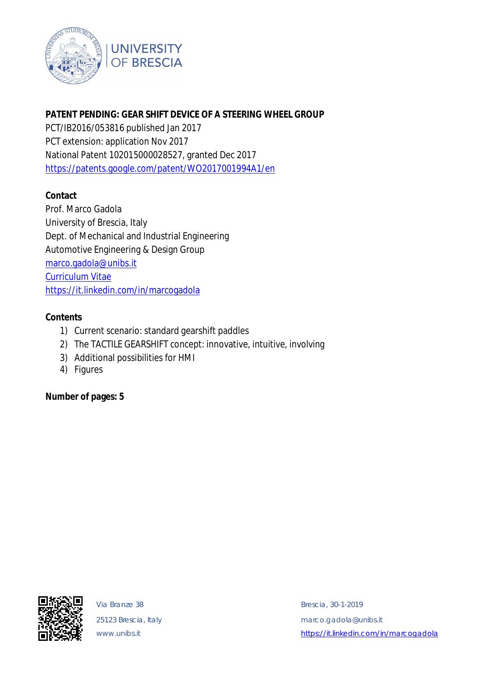

# **PATENT PENDING: GEAR SHIFT DEVICE OF A STEERING WHEEL GROUP**

PCT/IB2016/053816 published Jan 2017 PCT extension: application Nov 2017 National Patent 102015000028527, granted Dec 2017 <https://patents.google.com/patent/WO2017001994A1/en>

# **Contact**

Prof. Marco Gadola University of Brescia, Italy Dept. of Mechanical and Industrial Engineering Automotive Engineering & Design Group [marco.gadola@unibs.it](mailto:marco.gadola@unibs.it) Curriculum Vitae <https://it.linkedin.com/in/marcogadola>

# **Contents**

- 1) Current scenario: standard gearshift paddles
- 2) The TACTILE GEARSHIFT concept: innovative, intuitive, involving
- 3) Additional possibilities for HMI
- 4) Figures

**Number of pages: 5**



Via Branze 38 Brescia, 30-1-2019 25123 Brescia, Italy [marco.gadola@unibs.it](mailto:marco.gadola@unibs.it) [www.unibs.it](http://www.unibs.it) *<https://it.linkedin.com/in/marcogadola>*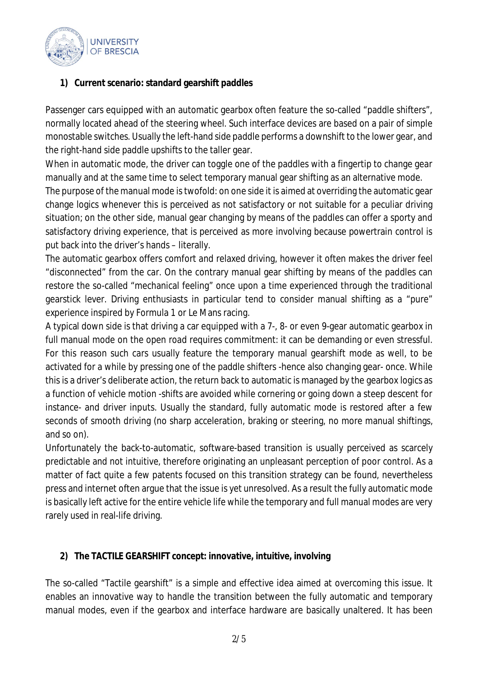

# **1) Current scenario: standard gearshift paddles**

Passenger cars equipped with an automatic gearbox often feature the so-called "paddle shifters", normally located ahead of the steering wheel. Such interface devices are based on a pair of simple monostable switches. Usually the left-hand side paddle performs a downshift to the lower gear, and the right-hand side paddle upshifts to the taller gear.

When in automatic mode, the driver can toggle one of the paddles with a fingertip to change gear manually and at the same time to select temporary manual gear shifting as an alternative mode.

The purpose of the manual mode is twofold: on one side it is aimed at overriding the automatic gear change logics whenever this is perceived as not satisfactory or not suitable for a peculiar driving situation; on the other side, manual gear changing by means of the paddles can offer a sporty and satisfactory driving experience, that is perceived as more involving because powertrain control is put back into the driver's hands – literally.

The automatic gearbox offers comfort and relaxed driving, however it often makes the driver feel "disconnected" from the car. On the contrary manual gear shifting by means of the paddles can restore the so-called "mechanical feeling" once upon a time experienced through the traditional gearstick lever. Driving enthusiasts in particular tend to consider manual shifting as a "pure" experience inspired by Formula 1 or Le Mans racing.

A typical down side is that driving a car equipped with a 7-, 8- or even 9-gear automatic gearbox in full manual mode on the open road requires commitment: it can be demanding or even stressful. For this reason such cars usually feature the temporary manual gearshift mode as well, to be activated for a while by pressing one of the paddle shifters -hence also changing gear- once. While this is a driver's deliberate action, the return back to automatic is managed by the gearbox logics as a function of vehicle motion -shifts are avoided while cornering or going down a steep descent for instance- and driver inputs. Usually the standard, fully automatic mode is restored after a few seconds of smooth driving (no sharp acceleration, braking or steering, no more manual shiftings, and so on).

Unfortunately the back-to-automatic, software-based transition is usually perceived as scarcely predictable and not intuitive, therefore originating an unpleasant perception of poor control. As a matter of fact quite a few patents focused on this transition strategy can be found, nevertheless press and internet often argue that the issue is yet unresolved. As a result the fully automatic mode is basically left active for the entire vehicle life while the temporary and full manual modes are very rarely used in real-life driving.

# **2) The TACTILE GEARSHIFT concept: innovative, intuitive, involving**

The so-called "Tactile gearshift" is a simple and effective idea aimed at overcoming this issue. It enables an innovative way to handle the transition between the fully automatic and temporary manual modes, even if the gearbox and interface hardware are basically unaltered. It has been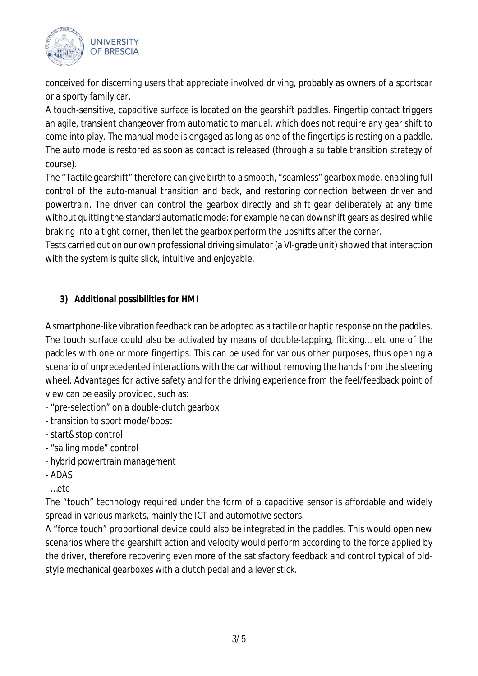

conceived for discerning users that appreciate involved driving, probably as owners of a sportscar or a sporty family car.

A touch-sensitive, capacitive surface is located on the gearshift paddles. Fingertip contact triggers an agile, transient changeover from automatic to manual, which does not require any gear shift to come into play. The manual mode is engaged as long as one of the fingertips is resting on a paddle. The auto mode is restored as soon as contact is released (through a suitable transition strategy of course).

The "Tactile gearshift" therefore can give birth to a smooth, "seamless" gearbox mode, enabling full control of the auto-manual transition and back, and restoring connection between driver and powertrain. The driver can control the gearbox directly and shift gear deliberately at any time without quitting the standard automatic mode: for example he can downshift gears as desired while braking into a tight corner, then let the gearbox perform the upshifts after the corner.

Tests carried out on our own professional driving simulator (a VI-grade unit) showed that interaction with the system is quite slick, intuitive and enjoyable.

# **3) Additional possibilities for HMI**

A smartphone-like vibration feedback can be adopted as a tactile or haptic response on the paddles. The touch surface could also be activated by means of double-tapping, flicking… etc one of the paddles with one or more fingertips. This can be used for various other purposes, thus opening a scenario of unprecedented interactions with the car without removing the hands from the steering wheel. Advantages for active safety and for the driving experience from the feel/feedback point of view can be easily provided, such as:

- "pre-selection" on a double-clutch gearbox
- transition to sport mode/boost
- start&stop control
- "sailing mode" control
- hybrid powertrain management
- ADAS
- …etc

The "touch" technology required under the form of a capacitive sensor is affordable and widely spread in various markets, mainly the ICT and automotive sectors.

A "force touch" proportional device could also be integrated in the paddles. This would open new scenarios where the gearshift action and velocity would perform according to the force applied by the driver, therefore recovering even more of the satisfactory feedback and control typical of oldstyle mechanical gearboxes with a clutch pedal and a lever stick.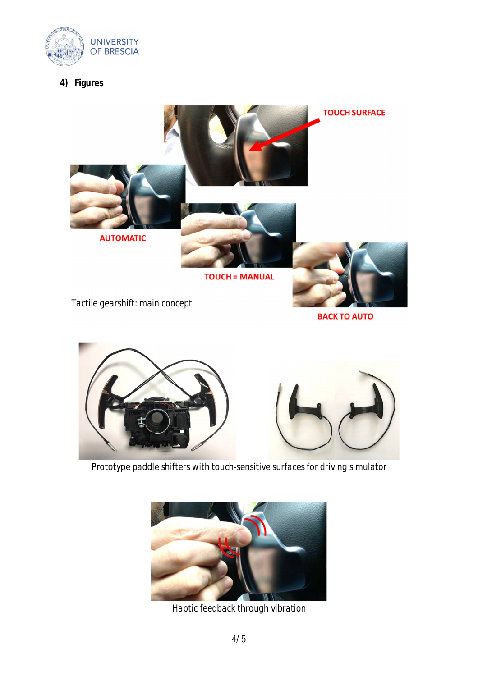

**4) Figures**



*Prototype paddle shifters with touch-sensitive surfaces for driving simulator*



*Haptic feedback through vibration*